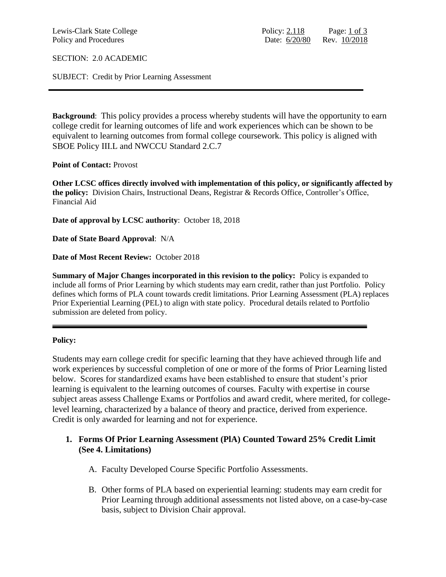SECTION: 2.0 ACADEMIC

SUBJECT: Credit by Prior Learning Assessment

**Background**: This policy provides a process whereby students will have the opportunity to earn college credit for learning outcomes of life and work experiences which can be shown to be equivalent to learning outcomes from formal college coursework. This policy is aligned with SBOE Policy III.L and NWCCU Standard 2.C.7

#### **Point of Contact:** Provost

**Other LCSC offices directly involved with implementation of this policy, or significantly affected by the policy:** Division Chairs, Instructional Deans, Registrar & Records Office, Controller's Office, Financial Aid

**Date of approval by LCSC authority**: October 18, 2018

**Date of State Board Approval**: N/A

**Date of Most Recent Review:** October 2018

**Summary of Major Changes incorporated in this revision to the policy:** Policy is expanded to include all forms of Prior Learning by which students may earn credit, rather than just Portfolio. Policy defines which forms of PLA count towards credit limitations. Prior Learning Assessment (PLA) replaces Prior Experiential Learning (PEL) to align with state policy. Procedural details related to Portfolio submission are deleted from policy.

#### **Policy:**

Students may earn college credit for specific learning that they have achieved through life and work experiences by successful completion of one or more of the forms of Prior Learning listed below. Scores for standardized exams have been established to ensure that student's prior learning is equivalent to the learning outcomes of courses. Faculty with expertise in course subject areas assess Challenge Exams or Portfolios and award credit, where merited, for collegelevel learning, characterized by a balance of theory and practice, derived from experience. Credit is only awarded for learning and not for experience.

## **1. Forms Of Prior Learning Assessment (PlA) Counted Toward 25% Credit Limit (See 4. Limitations)**

- A. Faculty Developed Course Specific Portfolio Assessments.
- B. Other forms of PLA based on experiential learning: students may earn credit for Prior Learning through additional assessments not listed above, on a case-by-case basis, subject to Division Chair approval.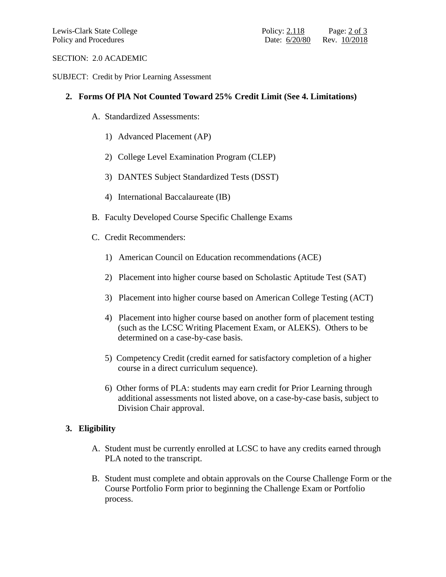### SECTION: 2.0 ACADEMIC

SUBJECT: Credit by Prior Learning Assessment

## **2. Forms Of PlA Not Counted Toward 25% Credit Limit (See 4. Limitations)**

- A. Standardized Assessments:
	- 1) Advanced Placement (AP)
	- 2) College Level Examination Program (CLEP)
	- 3) DANTES Subject Standardized Tests (DSST)
	- 4) International Baccalaureate (IB)
- B. Faculty Developed Course Specific Challenge Exams
- C. Credit Recommenders:
	- 1) American Council on Education recommendations (ACE)
	- 2) Placement into higher course based on Scholastic Aptitude Test (SAT)
	- 3) Placement into higher course based on American College Testing (ACT)
	- 4) Placement into higher course based on another form of placement testing (such as the LCSC Writing Placement Exam, or ALEKS). Others to be determined on a case-by-case basis.
	- 5) Competency Credit (credit earned for satisfactory completion of a higher course in a direct curriculum sequence).
	- 6) Other forms of PLA: students may earn credit for Prior Learning through additional assessments not listed above, on a case-by-case basis, subject to Division Chair approval.

# **3. Eligibility**

- A. Student must be currently enrolled at LCSC to have any credits earned through PLA noted to the transcript.
- B. Student must complete and obtain approvals on the Course Challenge Form or the Course Portfolio Form prior to beginning the Challenge Exam or Portfolio process.